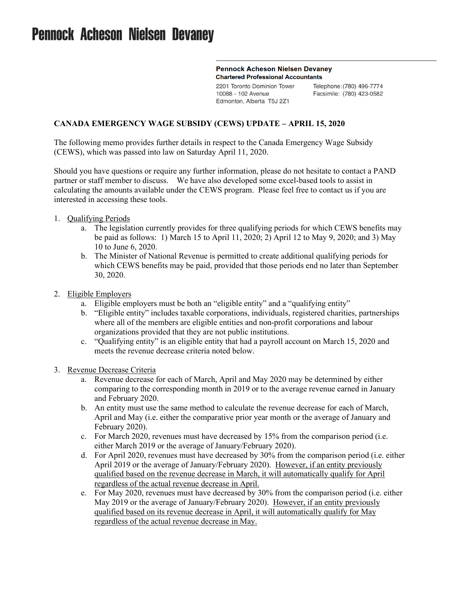# **Pennock Acheson Nielsen Devaney**

#### **Pennock Acheson Nielsen Devaney Chartered Professional Accountants**

2201 Toronto Dominion Tower 10088 - 102 Avenue Edmonton, Alberta T5J 2Z1

Telephone: (780) 496-7774 Facsimile: (780) 423-0582

# **CANADA EMERGENCY WAGE SUBSIDY (CEWS) UPDATE – APRIL 15, 2020**

The following memo provides further details in respect to the Canada Emergency Wage Subsidy (CEWS), which was passed into law on Saturday April 11, 2020.

Should you have questions or require any further information, please do not hesitate to contact a PAND partner or staff member to discuss. We have also developed some excel-based tools to assist in calculating the amounts available under the CEWS program. Please feel free to contact us if you are interested in accessing these tools.

- 1. Qualifying Periods
	- a. The legislation currently provides for three qualifying periods for which CEWS benefits may be paid as follows: 1) March 15 to April 11, 2020; 2) April 12 to May 9, 2020; and 3) May 10 to June 6, 2020.
	- b. The Minister of National Revenue is permitted to create additional qualifying periods for which CEWS benefits may be paid, provided that those periods end no later than September 30, 2020.
- 2. Eligible Employers
	- a. Eligible employers must be both an "eligible entity" and a "qualifying entity"
	- b. "Eligible entity" includes taxable corporations, individuals, registered charities, partnerships where all of the members are eligible entities and non-profit corporations and labour organizations provided that they are not public institutions.
	- c. "Qualifying entity" is an eligible entity that had a payroll account on March 15, 2020 and meets the revenue decrease criteria noted below.
- 3. Revenue Decrease Criteria
	- a. Revenue decrease for each of March, April and May 2020 may be determined by either comparing to the corresponding month in 2019 or to the average revenue earned in January and February 2020.
	- b. An entity must use the same method to calculate the revenue decrease for each of March, April and May (i.e. either the comparative prior year month or the average of January and February 2020).
	- c. For March 2020, revenues must have decreased by 15% from the comparison period (i.e. either March 2019 or the average of January/February 2020).
	- d. For April 2020, revenues must have decreased by 30% from the comparison period (i.e. either April 2019 or the average of January/February 2020). However, if an entity previously qualified based on the revenue decrease in March, it will automatically qualify for April regardless of the actual revenue decrease in April.
	- e. For May 2020, revenues must have decreased by 30% from the comparison period (i.e. either May 2019 or the average of January/February 2020). However, if an entity previously qualified based on its revenue decrease in April, it will automatically qualify for May regardless of the actual revenue decrease in May.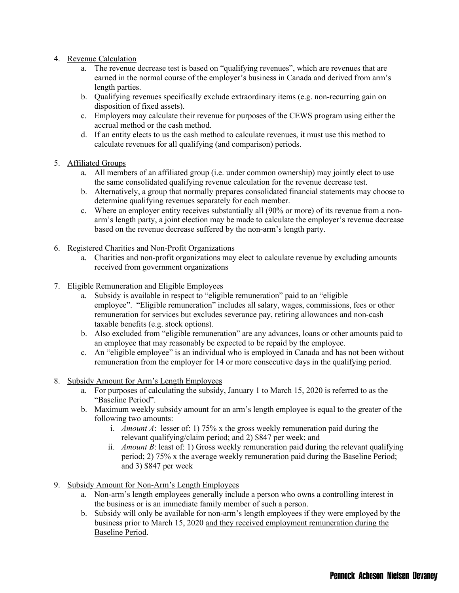- 4. Revenue Calculation
	- a. The revenue decrease test is based on "qualifying revenues", which are revenues that are earned in the normal course of the employer's business in Canada and derived from arm's length parties.
	- b. Qualifying revenues specifically exclude extraordinary items (e.g. non-recurring gain on disposition of fixed assets).
	- c. Employers may calculate their revenue for purposes of the CEWS program using either the accrual method or the cash method.
	- d. If an entity elects to us the cash method to calculate revenues, it must use this method to calculate revenues for all qualifying (and comparison) periods.

### 5. Affiliated Groups

- a. All members of an affiliated group (i.e. under common ownership) may jointly elect to use the same consolidated qualifying revenue calculation for the revenue decrease test.
- b. Alternatively, a group that normally prepares consolidated financial statements may choose to determine qualifying revenues separately for each member.
- c. Where an employer entity receives substantially all (90% or more) of its revenue from a nonarm's length party, a joint election may be made to calculate the employer's revenue decrease based on the revenue decrease suffered by the non-arm's length party.
- 6. Registered Charities and Non-Profit Organizations
	- a. Charities and non-profit organizations may elect to calculate revenue by excluding amounts received from government organizations
- 7. Eligible Remuneration and Eligible Employees
	- a. Subsidy is available in respect to "eligible remuneration" paid to an "eligible employee". "Eligible remuneration" includes all salary, wages, commissions, fees or other remuneration for services but excludes severance pay, retiring allowances and non-cash taxable benefits (e.g. stock options).
	- b. Also excluded from "eligible remuneration" are any advances, loans or other amounts paid to an employee that may reasonably be expected to be repaid by the employee.
	- c. An "eligible employee" is an individual who is employed in Canada and has not been without remuneration from the employer for 14 or more consecutive days in the qualifying period.
- 8. Subsidy Amount for Arm's Length Employees
	- a. For purposes of calculating the subsidy, January 1 to March 15, 2020 is referred to as the "Baseline Period".
	- b. Maximum weekly subsidy amount for an arm's length employee is equal to the greater of the following two amounts:
		- i. *Amount A*: lesser of: 1) 75% x the gross weekly remuneration paid during the relevant qualifying/claim period; and 2) \$847 per week; and
		- ii. *Amount B*: least of: 1) Gross weekly remuneration paid during the relevant qualifying period; 2) 75% x the average weekly remuneration paid during the Baseline Period; and 3) \$847 per week
- 9. Subsidy Amount for Non-Arm's Length Employees
	- a. Non-arm's length employees generally include a person who owns a controlling interest in the business or is an immediate family member of such a person.
	- b. Subsidy will only be available for non-arm's length employees if they were employed by the business prior to March 15, 2020 and they received employment remuneration during the Baseline Period.